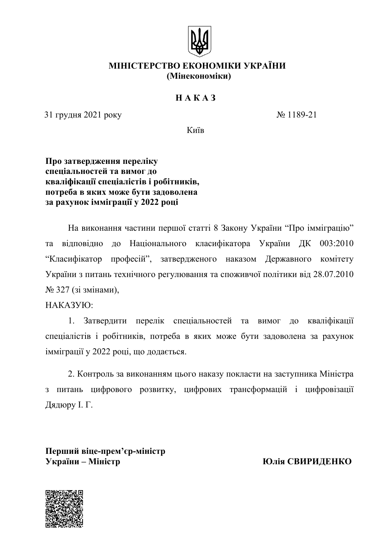

## МІНІСТЕРСТВО ЕКОНОМІКИ УКРАЇНИ (Мінекономіки)

## $H A K A 3$

31 грудня 2021 року

 $N_2$  1189-21

Київ

## Про затвердження переліку спеціальностей та вимог до кваліфікації спеціалістів і робітників, потреба в яких може бути задоволена за рахунок імміграції у 2022 році

На виконання частини першої статті 8 Закону України "Про імміграцію" та відповідно до Національного класифікатора України ДК 003:2010 "Класифікатор професій", затвердженого наказом Державного комітету України з питань технічного регулювання та споживчої політики від 28.07.2010 № 327 (зі змінами),

HAKA3YIO:

Затверлити перелік спеціальностей та вимог до кваліфікації  $1$ спеціалістів і робітників, потреба в яких може бути задоволена за рахунок імміграції у 2022 році, що додається.

2. Контроль за виконанням цього наказу покласти на заступника Міністра з питань цифрового розвитку, цифрових трансформацій і цифровізації Дядюру І. Г.

Перший віце-прем'єр-міністр **України** – Міністр

Юлія СВИРИЛЕНКО

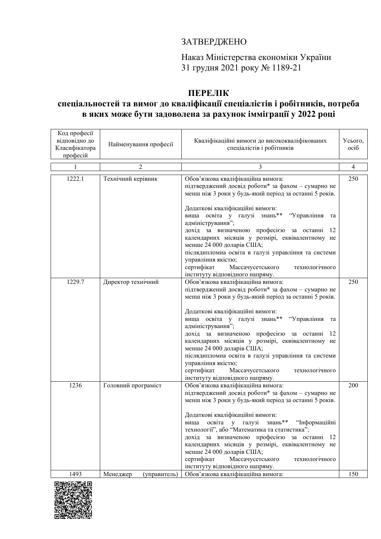## ЗАТВЕРДЖЕНО

Наказ Міністерства економіки України 31 грудня 2021 року № 1189-21

# ПЕРЕЛІК

## спеціальностей та вимог до кваліфікації спеціалістів і робітників, потреба в яких може бути задоволена за рахунок імміграції у 2022 році

| Код професії<br>відповідно до<br>Класифікатора<br>професій | Найменування професії    | Кваліфікаційні вимоги до висококваліфікованих<br>спеціалістів і робітників                                                                                                                                                                                                                                                                                                                                                                                                                                                                                                                              | Усього,<br>oció |
|------------------------------------------------------------|--------------------------|---------------------------------------------------------------------------------------------------------------------------------------------------------------------------------------------------------------------------------------------------------------------------------------------------------------------------------------------------------------------------------------------------------------------------------------------------------------------------------------------------------------------------------------------------------------------------------------------------------|-----------------|
|                                                            | 2                        | 3                                                                                                                                                                                                                                                                                                                                                                                                                                                                                                                                                                                                       | $\overline{4}$  |
| 1222.1                                                     | Технічний керівник       | Обов'язкова кваліфікаційна вимога:<br>підтверджений досвід роботи* за фахом - сумарно не<br>менш ніж 3 роки у будь-який період за останні 5 років.<br>Додаткові кваліфікаційні вимоги:<br>вища освіта у галузі знань** "Управління<br>та<br>адміністрування";<br>дохід за визначеною професією за останні<br>12<br>календарних місяців у розмірі, еквівалентному не<br>менше 24 000 доларів США;<br>післядипломна освіта в галузі управління та системи<br>управління якістю;<br>сертифікат<br>Массачусетського<br>технологічного                                                                       | 250             |
| 1229.7                                                     | Директор технічний       | інституту відповідного напряму.<br>Обов'язкова кваліфікаційна вимога:<br>підтверджений досвід роботи* за фахом - сумарно не<br>менш ніж 3 роки у будь-який період за останні 5 років.<br>Додаткові кваліфікаційні вимоги:<br>вища освіта у галузі знань** "Управління<br>та<br>адміністрування";<br>дохід за визначеною професією за останні<br>12<br>календарних місяців у розмірі, еквівалентному не<br>менше 24 000 доларів США;<br>післядипломна освіта в галузі управління та системи<br>управління якістю;<br>сертифікат<br>Массачусетського<br>технологічного<br>інституту відповідного напряму. | 250             |
| 1236                                                       | Головний програміст      | Обов'язкова кваліфікаційна вимога:<br>підтверджений досвід роботи* за фахом - сумарно не<br>менш ніж 3 роки у будь-який період за останні 5 років.<br>Додаткові кваліфікаційні вимоги:<br>вища освіта у галузі знань** "Інформаційні<br>технології", або "Математика та статистика";<br>дохід за визначеною професією за останні 12<br>календарних місяців у розмірі, еквівалентному не<br>менше 24 000 доларів США;<br>сертифікат<br>Массачусетського<br>технологічного<br>інституту відповідного напряму.                                                                                             | 200             |
| 1493                                                       | Менеджер<br>(управитель) | Обов'язкова кваліфікаційна вимога:                                                                                                                                                                                                                                                                                                                                                                                                                                                                                                                                                                      | 150             |

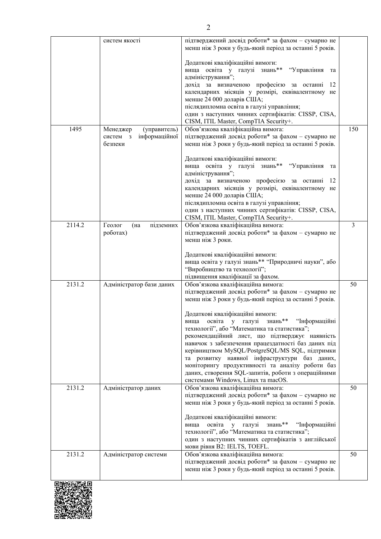|        | систем якості                          | підтверджений досвід роботи* за фахом - сумарно не<br>менш ніж 3 роки у будь-який період за останні 5 років.                                             |     |
|--------|----------------------------------------|----------------------------------------------------------------------------------------------------------------------------------------------------------|-----|
|        |                                        | Додаткові кваліфікаційні вимоги:<br>вища освіта у галузі знань** "Управління<br>та<br>адміністрування";                                                  |     |
|        |                                        | дохід за визначеною професією за останні<br>12<br>календарних місяців у розмірі, еквівалентному не<br>менше 24 000 доларів США;                          |     |
|        |                                        | післядипломна освіта в галузі управління;                                                                                                                |     |
|        |                                        | один з наступних чинних сертифікатів: CISSP, CISA,<br>CISM, ITIL Master, CompTIA Security+.                                                              |     |
| 1495   | Менеджер<br>(управитель)               | Обов'язкова кваліфікаційна вимога:                                                                                                                       | 150 |
|        | інформаційної<br>систем з<br>безпеки   | підтверджений досвід роботи* за фахом - сумарно не<br>менш ніж 3 роки у будь-який період за останні 5 років.                                             |     |
|        |                                        | Додаткові кваліфікаційні вимоги:<br>вища освіта у галузі знань** "Управління<br>та<br>адміністрування";                                                  |     |
|        |                                        | дохід за визначеною професією за останні<br>12<br>календарних місяців у розмірі, еквівалентному не                                                       |     |
|        |                                        | менше 24 000 доларів США;<br>післядипломна освіта в галузі управління;<br>один з наступних чинних сертифікатів: CISSP, CISA,                             |     |
|        |                                        | CISM, ITIL Master, CompTIA Security+.                                                                                                                    |     |
| 2114.2 | Геолог<br>(на<br>підземних<br>роботах) | Обов'язкова кваліфікаційна вимога:<br>підтверджений досвід роботи* за фахом - сумарно не                                                                 | 3   |
|        |                                        | менш ніж 3 роки.                                                                                                                                         |     |
|        |                                        | Додаткові кваліфікаційні вимоги:<br>вища освіта у галузі знань** "Природничі науки", або<br>"Виробництво та технології";                                 |     |
|        |                                        | підвищення кваліфікації за фахом.                                                                                                                        |     |
| 2131.2 | Адміністратор бази даних               | Обов'язкова кваліфікаційна вимога:                                                                                                                       | 50  |
|        |                                        | підтверджений досвід роботи* за фахом - сумарно не<br>менш ніж 3 роки у будь-який період за останні 5 років.                                             |     |
|        |                                        | Додаткові кваліфікаційні вимоги:<br>вища освіта у галузі знань** "Інформаційні                                                                           |     |
|        |                                        | технології", або "Математика та статистика";                                                                                                             |     |
|        |                                        | рекомендаційний лист, що підтверджує наявність<br>навичок з забезпечення працездатності баз даних під<br>керівництвом MySQL/PostgreSQL/MS SQL, підтримки |     |
|        |                                        | та розвитку наявної інфраструктури баз даних,                                                                                                            |     |
|        |                                        | моніторингу продуктивності та аналізу роботи баз                                                                                                         |     |
|        |                                        | даних, створення SQL-запитів, роботи з операційними                                                                                                      |     |
| 2131.2 | Адміністратор даних                    | системами Windows, Linux та macOS.<br>Обов'язкова кваліфікаційна вимога:                                                                                 | 50  |
|        |                                        | підтверджений досвід роботи* за фахом - сумарно не                                                                                                       |     |
|        |                                        | менш ніж 3 роки у будь-який період за останні 5 років.                                                                                                   |     |
|        |                                        | Додаткові кваліфікаційні вимоги:                                                                                                                         |     |
|        |                                        | вища освіта у галузі знань**<br>"Інформаційні<br>технології", або "Математика та статистика";                                                            |     |
|        |                                        | один з наступних чинних сертифікатів з англійської<br>мови рівня B2: IELTS, TOEFL.                                                                       |     |
| 2131.2 | Адміністратор системи                  | Обов'язкова кваліфікаційна вимога:                                                                                                                       | 50  |
|        |                                        | підтверджений досвід роботи* за фахом - сумарно не<br>менш ніж 3 роки у будь-який період за останні 5 років.                                             |     |
|        |                                        |                                                                                                                                                          |     |

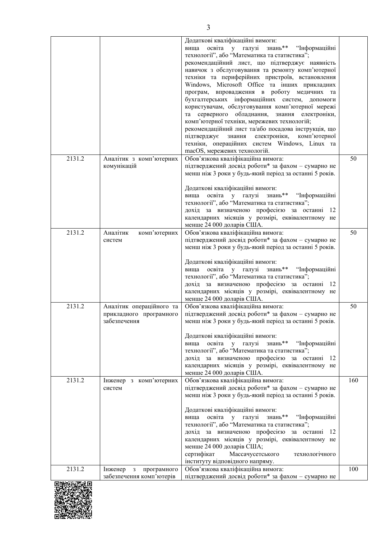|        |                                          | Додаткові кваліфікаційні вимоги:                       |     |
|--------|------------------------------------------|--------------------------------------------------------|-----|
|        |                                          | вища освіта у галузі знань** "Інформаційні             |     |
|        |                                          | технології", або "Математика та статистика";           |     |
|        |                                          | рекомендаційний лист, що підтверджує наявність         |     |
|        |                                          | навичок з обслуговування та ремонту комп'ютерної       |     |
|        |                                          | техніки та периферійних пристроїв, встановлення        |     |
|        |                                          | Windows, Microsoft Office та інших прикладних          |     |
|        |                                          | програм, впровадження в роботу медичних та             |     |
|        |                                          | бухгалтерських інформаційних систем, допомоги          |     |
|        |                                          | користувачам, обслуговування комп'ютерної мережі       |     |
|        |                                          | та серверного обладнання,<br>знання електроніки,       |     |
|        |                                          | комп'ютерної техніки, мережевих технологій;            |     |
|        |                                          | рекомендаційний лист та/або посадова інструкція, що    |     |
|        |                                          | електроніки,<br>підтверджує<br>комп'ютерної<br>знання  |     |
|        |                                          | техніки, операційних систем Windows, Linux та          |     |
|        |                                          | macOS, мережевих технологій.                           |     |
| 2131.2 | Аналітик з комп'ютерних                  | Обов'язкова кваліфікаційна вимога:                     | 50  |
|        | комунікацій                              | підтверджений досвід роботи* за фахом - сумарно не     |     |
|        |                                          | менш ніж 3 роки у будь-який період за останні 5 років. |     |
|        |                                          |                                                        |     |
|        |                                          | Додаткові кваліфікаційні вимоги:                       |     |
|        |                                          | освіта у галузі знань** "Інформаційні<br>вища          |     |
|        |                                          | технології", або "Математика та статистика";           |     |
|        |                                          | дохід за визначеною професією за останні 12            |     |
|        |                                          | календарних місяців у розмірі, еквівалентному не       |     |
|        |                                          | менше 24 000 доларів США.                              |     |
| 2131.2 | Аналітик<br>комп'ютерних                 | Обов'язкова кваліфікаційна вимога:                     | 50  |
|        | систем                                   | підтверджений досвід роботи* за фахом - сумарно не     |     |
|        |                                          | менш ніж 3 роки у будь-який період за останні 5 років. |     |
|        |                                          |                                                        |     |
|        |                                          | Додаткові кваліфікаційні вимоги:                       |     |
|        |                                          | вища освіта у галузі знань** "Інформаційні             |     |
|        |                                          | технології", або "Математика та статистика";           |     |
|        |                                          | дохід за визначеною професією за останні<br>-12        |     |
|        |                                          | календарних місяців у розмірі, еквівалентному не       |     |
|        |                                          | менше 24 000 доларів США.                              |     |
| 2131.2 | Аналітик операційного та                 | Обов'язкова кваліфікаційна вимога:                     | 50  |
|        | прикладного програмного                  | підтверджений досвід роботи* за фахом - сумарно не     |     |
|        | забезпечення                             | менш ніж 3 роки у будь-який період за останні 5 років. |     |
|        |                                          |                                                        |     |
|        |                                          | Додаткові кваліфікаційні вимоги:                       |     |
|        |                                          | вища освіта у галузі знань** "Інформаційні             |     |
|        |                                          | технології", або "Математика та статистика";           |     |
|        |                                          | дохід за визначеною професією за останні 12            |     |
|        |                                          | календарних місяців у розмірі, еквівалентному не       |     |
|        |                                          | менше 24 000 доларів США.                              |     |
| 2131.2 | Інженер з комп'ютерних                   | Обов'язкова кваліфікаційна вимога:                     | 160 |
|        | систем                                   | підтверджений досвід роботи* за фахом - сумарно не     |     |
|        |                                          | менш ніж 3 роки у будь-який період за останні 5 років. |     |
|        |                                          |                                                        |     |
|        |                                          | Додаткові кваліфікаційні вимоги:                       |     |
|        |                                          | освіта у галузі знань** "Інформаційні<br>вища          |     |
|        |                                          | технології", або "Математика та статистика";           |     |
|        |                                          | дохід за визначеною професією за останні 12            |     |
|        |                                          | календарних місяців у розмірі, еквівалентному не       |     |
|        |                                          | менше 24 000 доларів США;                              |     |
|        |                                          | сертифікат<br>Массачусетського<br>технологічного       |     |
|        |                                          | інституту відповідного напряму.                        |     |
| 2131.2 | Інженер<br>програмного<br>$\overline{3}$ | Обов'язкова кваліфікаційна вимога:                     | 100 |
|        | забезпечення комп'ютерів                 | підтверджений досвід роботи* за фахом - сумарно не     |     |
|        |                                          |                                                        |     |

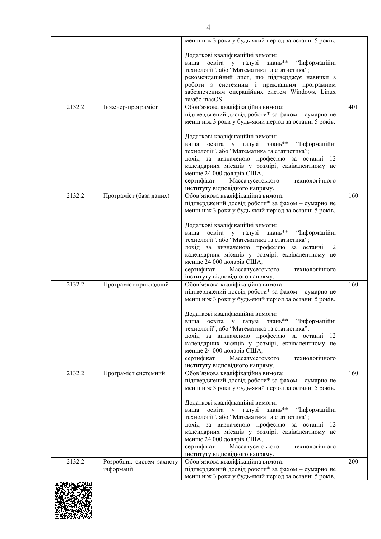|                   |                                        | менш ніж 3 роки у будь-який період за останні 5 років.                                                                                                                                                                                                                                                                                                    |     |
|-------------------|----------------------------------------|-----------------------------------------------------------------------------------------------------------------------------------------------------------------------------------------------------------------------------------------------------------------------------------------------------------------------------------------------------------|-----|
|                   |                                        | Додаткові кваліфікаційні вимоги:<br>вища освіта у галузі знань** "Інформаційні<br>технології", або "Математика та статистика";<br>рекомендаційний лист, що підтверджує навички з<br>роботи з системним і прикладним програмним<br>забезпеченням операційних систем Windows, Linux<br>та/або macOS.                                                        |     |
| 2132.2            | Інженер-програміст                     | Обов'язкова кваліфікаційна вимога:<br>підтверджений досвід роботи* за фахом - сумарно не<br>менш ніж 3 роки у будь-який період за останні 5 років.                                                                                                                                                                                                        | 401 |
|                   |                                        | Додаткові кваліфікаційні вимоги:<br>освіта у галузі знань** "Інформаційні<br>вища<br>технології", або "Математика та статистика";<br>дохід за визначеною професією за останні 12<br>календарних місяців у розмірі, еквівалентному не<br>менше 24 000 доларів США;<br>сертифікат Массачусетського<br>технологічного<br>інституту відповідного напряму.     |     |
| 2132.2            | Програміст (база даних)                | Обов'язкова кваліфікаційна вимога:<br>підтверджений досвід роботи* за фахом - сумарно не<br>менш ніж 3 роки у будь-який період за останні 5 років.                                                                                                                                                                                                        | 160 |
|                   |                                        | Додаткові кваліфікаційні вимоги:<br>вища освіта у галузі знань** "Інформаційні<br>технології", або "Математика та статистика";<br>дохід за визначеною професією за останні<br>-12<br>календарних місяців у розмірі, еквівалентному не<br>менше 24 000 доларів США;<br>сертифікат<br>Массачусетського<br>технологічного<br>інституту відповідного напряму. |     |
| 2132.2            | Програміст прикладний                  | Обов'язкова кваліфікаційна вимога:<br>підтверджений досвід роботи* за фахом - сумарно не<br>менш ніж 3 роки у будь-який період за останні 5 років.                                                                                                                                                                                                        | 160 |
|                   |                                        | Додаткові кваліфікаційні вимоги:<br>вища освіта у галузі знань** "Інформаційні<br>технології", або "Математика та статистика";<br>дохід за визначеною професією за останні 12<br>календарних місяців у розмірі, еквівалентному не<br>менше 24 000 доларів США;<br>сертифікат<br>Массачусетського<br>технологічного<br>інституту відповідного напряму.     |     |
| 2132.2            | Програміст системний                   | Обов'язкова кваліфікаційна вимога:<br>підтверджений досвід роботи* за фахом - сумарно не<br>менш ніж 3 роки у будь-який період за останні 5 років.                                                                                                                                                                                                        | 160 |
|                   |                                        | Додаткові кваліфікаційні вимоги:<br>вища освіта у галузі знань** "Інформаційні<br>технології", або "Математика та статистика";<br>дохід за визначеною професією за останні 12<br>календарних місяців у розмірі, еквівалентному не<br>менше 24 000 доларів США;<br>сертифікат<br>Массачусетського<br>технологічного<br>інституту відповідного напряму.     |     |
| 2132.2<br>同地特征基础间 | Розробник систем захисту<br>інформації | Обов'язкова кваліфікаційна вимога:<br>підтверджений досвід роботи* за фахом - сумарно не<br>менш ніж 3 роки у будь-який період за останні 5 років.                                                                                                                                                                                                        | 200 |

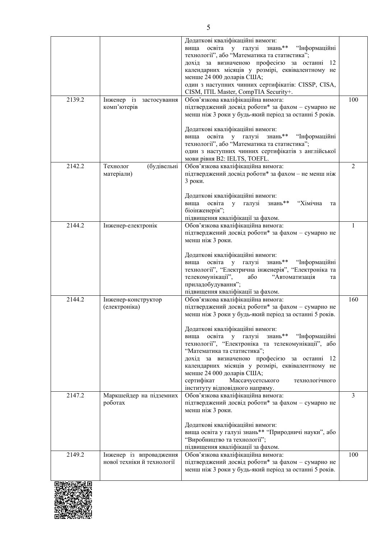|                   |                                                       | Додаткові кваліфікаційні вимоги:<br>вища освіта у галузі знань**<br>"Інформаційні<br>технології", або "Математика та статистика";<br>дохід за визначеною професією за останні<br>12<br>календарних місяців у розмірі, еквівалентному не<br>менше 24 000 доларів США;<br>один з наступних чинних сертифікатів: CISSP, CISA,<br>CISM, ITIL Master, CompTIA Security+.                                                                                                                                                                                 |                |
|-------------------|-------------------------------------------------------|-----------------------------------------------------------------------------------------------------------------------------------------------------------------------------------------------------------------------------------------------------------------------------------------------------------------------------------------------------------------------------------------------------------------------------------------------------------------------------------------------------------------------------------------------------|----------------|
| 2139.2            | із застосування<br>Інженер<br>комп'ютерів             | Обов'язкова кваліфікаційна вимога:<br>підтверджений досвід роботи* за фахом - сумарно не<br>менш ніж 3 роки у будь-який період за останні 5 років.<br>Додаткові кваліфікаційні вимоги:<br>знань**<br>освіта у галузі<br>"Інформаційні<br>вища<br>технології", або "Математика та статистика";<br>один з наступних чинних сертифікатів з англійської                                                                                                                                                                                                 | 100            |
| 2142.2            | (будівельні<br>Технолог<br>матеріали)                 | мови рівня В2: IELTS, TOEFL.<br>Обов'язкова кваліфікаційна вимога:<br>підтверджений досвід роботи* за фахом - не менш ніж<br>3 роки.<br>Додаткові кваліфікаційні вимоги:<br>освіта у галузі знань**<br>вища<br>"Хімічна<br>та<br>біоінженерія";<br>підвищення кваліфікації за фахом.                                                                                                                                                                                                                                                                | $\overline{2}$ |
| 2144.2            | Інженер-електронік                                    | Обов'язкова кваліфікаційна вимога:<br>підтверджений досвід роботи* за фахом - сумарно не<br>менш ніж 3 роки.<br>Додаткові кваліфікаційні вимоги:<br>вища освіта у галузі знань** "Інформаційні<br>технології", "Електрична інженерія", "Електроніка та<br>телекомунікації",<br>"Автоматизація<br>або<br>та<br>приладобудування";<br>підвищення кваліфікації за фахом.                                                                                                                                                                               |                |
| 2144.2            | Інженер-конструктор<br>(електроніка)                  | Обов'язкова кваліфікаційна вимога:<br>підтверджений досвід роботи* за фахом - сумарно не<br>менш ніж 3 роки у будь-який період за останні 5 років.<br>Додаткові кваліфікаційні вимоги:<br>вища освіта у галузі<br>знань** "Інформаційні<br>технології", "Електроніка та телекомунікації", або<br>"Математика та статистика";<br>дохід за визначеною професією за останні 12<br>календарних місяців у розмірі, еквівалентному не<br>менше 24 000 доларів США;<br>сертифікат<br>Массачусетського<br>технологічного<br>інституту відповідного напряму. | 160            |
| 2147.2            | Маркшейдер на підземних<br>роботах                    | Обов'язкова кваліфікаційна вимога:<br>підтверджений досвід роботи* за фахом - сумарно не<br>менш ніж 3 роки.<br>Додаткові кваліфікаційні вимоги:<br>вища освіта у галузі знань** "Природничі науки", або<br>"Виробництво та технології";<br>підвищення кваліфікації за фахом.                                                                                                                                                                                                                                                                       | $\overline{3}$ |
| 2149.2<br>回游戏活毒成回 | Інженер із впровадження<br>нової техніки й технології | Обов'язкова кваліфікаційна вимога:<br>підтверджений досвід роботи* за фахом - сумарно не<br>менш ніж 3 роки у будь-який період за останні 5 років.                                                                                                                                                                                                                                                                                                                                                                                                  | 100            |

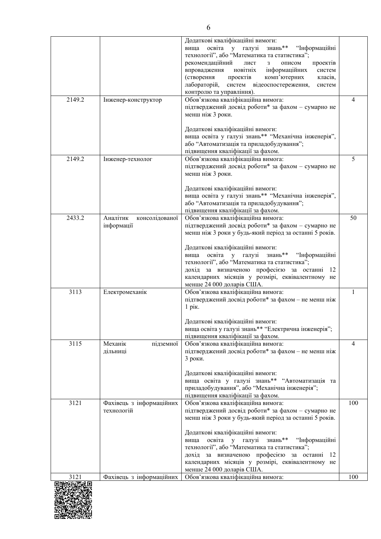|        |                            | Додаткові кваліфікаційні вимоги:                                                                   |                |
|--------|----------------------------|----------------------------------------------------------------------------------------------------|----------------|
|        |                            | вища освіта у галузі<br>знань** "Інформаційні                                                      |                |
|        |                            | технології", або "Математика та статистика";<br>рекомендаційний<br>лист<br>описом<br>проектів<br>3 |                |
|        |                            | новітніх<br>впровадження<br>інформаційних<br>систем                                                |                |
|        |                            | (створення<br>проектів<br>комп'ютерних<br>класів,                                                  |                |
|        |                            | лабораторій,<br>систем відеоспостереження,<br>систем                                               |                |
|        |                            | контролю та управління).                                                                           |                |
| 2149.2 | Інженер-конструктор        | Обов'язкова кваліфікаційна вимога:                                                                 | $\overline{4}$ |
|        |                            | підтверджений досвід роботи* за фахом - сумарно не                                                 |                |
|        |                            | менш ніж 3 роки.                                                                                   |                |
|        |                            | Додаткові кваліфікаційні вимоги:                                                                   |                |
|        |                            | вища освіта у галузі знань** "Механічна інженерія",                                                |                |
|        |                            | або "Автоматизація та приладобудування";                                                           |                |
|        |                            | підвищення кваліфікації за фахом.                                                                  |                |
| 2149.2 | Інженер-технолог           | Обов'язкова кваліфікаційна вимога:                                                                 | 5              |
|        |                            | підтверджений досвід роботи* за фахом - сумарно не                                                 |                |
|        |                            | менш ніж 3 роки.                                                                                   |                |
|        |                            |                                                                                                    |                |
|        |                            | Додаткові кваліфікаційні вимоги:<br>вища освіта у галузі знань** "Механічна інженерія",            |                |
|        |                            | або "Автоматизація та приладобудування";                                                           |                |
|        |                            | підвищення кваліфікації за фахом.                                                                  |                |
| 2433.2 | Аналітик<br>консолідованої | Обов'язкова кваліфікаційна вимога:                                                                 | 50             |
|        | інформації                 | підтверджений досвід роботи* за фахом - сумарно не                                                 |                |
|        |                            | менш ніж 3 роки у будь-який період за останні 5 років.                                             |                |
|        |                            |                                                                                                    |                |
|        |                            | Додаткові кваліфікаційні вимоги:                                                                   |                |
|        |                            | вища освіта у галузі знань**<br>"Інформаційні<br>технології", або "Математика та статистика";      |                |
|        |                            | дохід за визначеною професією за останні 12                                                        |                |
|        |                            | календарних місяців у розмірі, еквівалентному не                                                   |                |
|        |                            | менше 24 000 доларів США.                                                                          |                |
| 3113   | Електромеханік             | Обов'язкова кваліфікаційна вимога:                                                                 | $\mathbf{1}$   |
|        |                            | підтверджений досвід роботи* за фахом - не менш ніж                                                |                |
|        |                            | 1 рік.                                                                                             |                |
|        |                            | Додаткові кваліфікаційні вимоги:                                                                   |                |
|        |                            | вища освіта у галузі знань** "Електрична інженерія";                                               |                |
|        |                            | підвищення кваліфікації за фахом.                                                                  |                |
| 3115   | Механік<br>підземної       | Обов'язкова кваліфікаційна вимога:                                                                 | $\overline{4}$ |
|        | дільниці                   | підтверджений досвід роботи* за фахом - не менш ніж                                                |                |
|        |                            | 3 роки.                                                                                            |                |
|        |                            |                                                                                                    |                |
|        |                            | Додаткові кваліфікаційні вимоги:<br>вища освіта у галузі знань** "Автоматизація та                 |                |
|        |                            | приладобудування", або "Механічна інженерія";                                                      |                |
|        |                            | підвищення кваліфікації за фахом.                                                                  |                |
| 3121   | Фахівець з інформаційних   | Обов'язкова кваліфікаційна вимога:                                                                 | 100            |
|        | технологій                 | підтверджений досвід роботи* за фахом - сумарно не                                                 |                |
|        |                            | менш ніж 3 роки у будь-який період за останні 5 років.                                             |                |
|        |                            |                                                                                                    |                |
|        |                            | Додаткові кваліфікаційні вимоги:                                                                   |                |
|        |                            | освіта у галузі знань** "Інформаційні<br>вища<br>технології", або "Математика та статистика";      |                |
|        |                            | дохід за визначеною професією за останні 12                                                        |                |
|        |                            | календарних місяців у розмірі, еквівалентному не                                                   |                |
|        |                            | менше 24 000 доларів США.                                                                          |                |
| 3121   | Фахівець з інформаційних   | Обов'язкова кваліфікаційна вимога:                                                                 | 100            |
|        |                            |                                                                                                    |                |

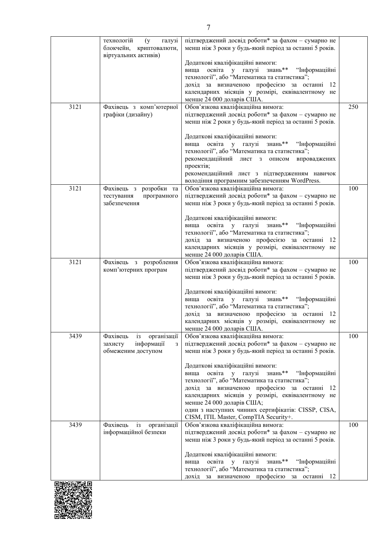|                            | технологій<br>галузі<br>(y <sub>0</sub> )<br>блокчейн, криптовалюти,                          | підтверджений досвід роботи* за фахом - сумарно не<br>менш ніж 3 роки у будь-який період за останні 5 років.                                                                                                                                                      |     |
|----------------------------|-----------------------------------------------------------------------------------------------|-------------------------------------------------------------------------------------------------------------------------------------------------------------------------------------------------------------------------------------------------------------------|-----|
|                            | віртуальних активів)                                                                          | Додаткові кваліфікаційні вимоги:<br>вища освіта у галузі знань**<br>"Інформаційні<br>технології", або "Математика та статистика";<br>дохід за визначеною професією за останні 12<br>календарних місяців у розмірі, еквівалентному не<br>менше 24 000 доларів США. |     |
| 3121                       | Фахівець з комп'ютерної                                                                       | Обов'язкова кваліфікаційна вимога:                                                                                                                                                                                                                                | 250 |
|                            | графіки (дизайну)                                                                             | підтверджений досвід роботи* за фахом - сумарно не<br>менш ніж 2 роки у будь-який період за останні 5 років.                                                                                                                                                      |     |
|                            |                                                                                               | Додаткові кваліфікаційні вимоги:<br>вища освіта у галузі знань**<br>"Інформаційні<br>технології", або "Математика та статистика";<br>рекомендаційний лист з описом<br>впроваджених<br>проектів;<br>рекомендаційний лист з підтвердженням навичок                  |     |
|                            |                                                                                               | володіння програмним забезпеченням WordPress.                                                                                                                                                                                                                     |     |
| 3121                       | Фахівець з розробки<br>та<br>програмного<br>тестування<br>забезпечення                        | Обов'язкова кваліфікаційна вимога:<br>підтверджений досвід роботи* за фахом - сумарно не<br>менш ніж 3 роки у будь-який період за останні 5 років.                                                                                                                | 100 |
|                            |                                                                                               | Додаткові кваліфікаційні вимоги:<br>вища освіта у галузі знань** "Інформаційні<br>технології", або "Математика та статистика";<br>дохід за визначеною професією за останні 12<br>календарних місяців у розмірі, еквівалентному не<br>менше 24 000 доларів США.    |     |
| 3121                       | Фахівець з розроблення<br>комп'ютерних програм                                                | Обов'язкова кваліфікаційна вимога:<br>підтверджений досвід роботи* за фахом - сумарно не<br>менш ніж 3 роки у будь-який період за останні 5 років.                                                                                                                | 100 |
|                            |                                                                                               | Додаткові кваліфікаційні вимоги:<br>вища освіта у галузі знань** "Інформаційні<br>технології", або "Математика та статистика";<br>дохід за визначеною професією за останні 12<br>календарних місяців у розмірі, еквівалентному не<br>менше 24 000 доларів США.    |     |
| 3439                       | організації<br>Фахівець<br>i <sub>3</sub><br>інформації<br>захисту<br>3<br>обмеженим доступом | Обов'язкова кваліфікаційна вимога:<br>підтверджений досвід роботи* за фахом - сумарно не<br>менш ніж 3 роки у будь-який період за останні 5 років.                                                                                                                | 100 |
|                            |                                                                                               | Додаткові кваліфікаційні вимоги:<br>вища освіта у галузі знань**<br>"Інформаційні<br>технології", або "Математика та статистика";<br>дохід за визначеною професією за останні<br>12                                                                               |     |
|                            |                                                                                               | календарних місяців у розмірі, еквівалентному не<br>менше 24 000 доларів США;<br>один з наступних чинних сертифікатів: CISSP, CISA,<br>CISM, ITIL Master, CompTIA Security+.                                                                                      |     |
| 3439                       | Фахівець<br>$\mathbf{i}$<br>організації                                                       | Обов'язкова кваліфікаційна вимога:                                                                                                                                                                                                                                | 100 |
|                            | інформаційної безпеки                                                                         | підтверджений досвід роботи* за фахом - сумарно не<br>менш ніж 3 роки у будь-який період за останні 5 років.                                                                                                                                                      |     |
|                            |                                                                                               | Додаткові кваліфікаційні вимоги:                                                                                                                                                                                                                                  |     |
|                            |                                                                                               | знань**<br>освіта у галузі<br>"Інформаційні<br>вища<br>технології", або "Математика та статистика";<br>дохід за визначеною професією<br>12<br>за останні                                                                                                          |     |
| בת באי שבה, על האנגנות הבת |                                                                                               |                                                                                                                                                                                                                                                                   |     |

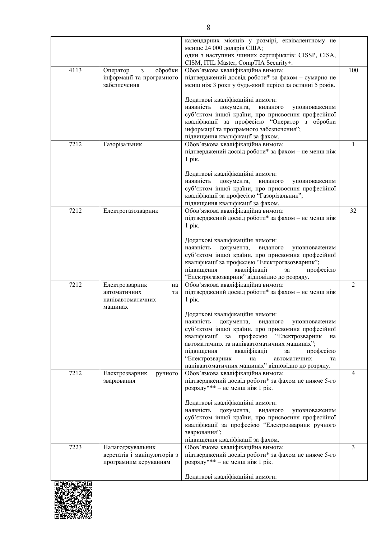|      |                                                       | календарних місяців у розмірі, еквівалентному не<br>менше 24 000 доларів США;                              |     |
|------|-------------------------------------------------------|------------------------------------------------------------------------------------------------------------|-----|
|      |                                                       | один з наступних чинних сертифікатів: CISSP, CISA,                                                         |     |
|      |                                                       | CISM, ITIL Master, CompTIA Security+.                                                                      |     |
| 4113 | обробки<br>Оператор<br>3<br>інформації та програмного | Обов'язкова кваліфікаційна вимога:<br>підтверджений досвід роботи* за фахом - сумарно не                   | 100 |
|      | забезпечення                                          | менш ніж 3 роки у будь-який період за останні 5 років.                                                     |     |
|      |                                                       |                                                                                                            |     |
|      |                                                       | Додаткові кваліфікаційні вимоги:                                                                           |     |
|      |                                                       | наявність<br>документа,<br>виданого<br>уповноваженим<br>суб'єктом іншої країни, про присвоєння професійної |     |
|      |                                                       | кваліфікації за професією "Оператор з обробки                                                              |     |
|      |                                                       | інформації та програмного забезпечення";                                                                   |     |
| 7212 | Газорізальник                                         | підвищення кваліфікації за фахом.<br>Обов'язкова кваліфікаційна вимога:                                    | 1   |
|      |                                                       | підтверджений досвід роботи* за фахом - не менш ніж                                                        |     |
|      |                                                       | 1 рік.                                                                                                     |     |
|      |                                                       |                                                                                                            |     |
|      |                                                       | Додаткові кваліфікаційні вимоги:<br>наявність<br>документа,<br>виданого<br>уповноваженим                   |     |
|      |                                                       | суб'єктом іншої країни, про присвоєння професійної                                                         |     |
|      |                                                       | кваліфікації за професією "Газорізальник";                                                                 |     |
| 7212 | Електрогазозварник                                    | підвищення кваліфікації за фахом.<br>Обов'язкова кваліфікаційна вимога:                                    | 32  |
|      |                                                       | підтверджений досвід роботи* за фахом - не менш ніж                                                        |     |
|      |                                                       | 1 рік.                                                                                                     |     |
|      |                                                       | Додаткові кваліфікаційні вимоги:                                                                           |     |
|      |                                                       | наявність<br>документа,<br>виданого<br>уповноваженим                                                       |     |
|      |                                                       | суб'єктом іншої країни, про присвоєння професійної                                                         |     |
|      |                                                       | кваліфікації за професією "Електрогазозварник";<br>підвищення<br>кваліфікації<br>професією                 |     |
|      |                                                       | $^{\rm 3a}$<br>"Електрогазозварник" відповідно до розряду.                                                 |     |
| 7212 | Електрозварник<br>на                                  | Обов'язкова кваліфікаційна вимога:                                                                         | 2   |
|      | автоматичних<br>та                                    | підтверджений досвід роботи* за фахом - не менш ніж                                                        |     |
|      | напівавтоматичних<br>машинах                          | $1$ pix.                                                                                                   |     |
|      |                                                       | Додаткові кваліфікаційні вимоги:                                                                           |     |
|      |                                                       | наявність документа, виданого уповноваженим                                                                |     |
|      |                                                       | суб'єктом іншої країни, про присвоєння професійної<br>за професією "Електрозварник<br>кваліфікації<br>на   |     |
|      |                                                       | автоматичних та напівавтоматичних машинах";                                                                |     |
|      |                                                       | підвищення<br>кваліфікації<br>за<br>професією                                                              |     |
|      |                                                       | "Електрозварник<br>на<br>автоматичних<br>та<br>напівавтоматичних машинах" відповідно до розряду.           |     |
| 7212 | Електрозварник<br>ручного                             | Обов'язкова кваліфікаційна вимога:                                                                         | 4   |
|      | зварювання                                            | підтверджений досвід роботи* за фахом не нижче 5-го                                                        |     |
|      |                                                       | розряду*** - не менш ніж 1 рік.                                                                            |     |
|      |                                                       | Додаткові кваліфікаційні вимоги:                                                                           |     |
|      |                                                       | наявність<br>документа,<br>виданого<br>уповноваженим                                                       |     |
|      |                                                       | суб'єктом іншої країни, про присвоєння професійної                                                         |     |
|      |                                                       | кваліфікації за професією "Електрозварник ручного<br>зварювання";                                          |     |
|      |                                                       | підвищення кваліфікації за фахом.                                                                          |     |
| 7223 | Налагоджувальник                                      | Обов'язкова кваліфікаційна вимога:                                                                         | 3   |
|      | верстатів і маніпуляторів з<br>програмним керуванням  | підтверджений досвід роботи* за фахом не нижче 5-го<br>розряду*** - не менш ніж 1 рік.                     |     |
|      |                                                       |                                                                                                            |     |
|      |                                                       | Додаткові кваліфікаційні вимоги:                                                                           |     |
|      |                                                       |                                                                                                            |     |
|      |                                                       |                                                                                                            |     |

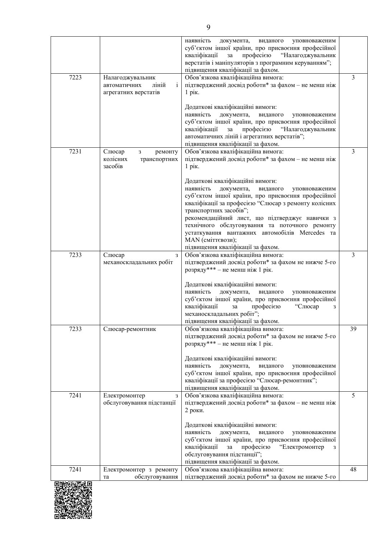|                  |                                                                                   | наявність<br>документа,<br>виданого<br>уповноваженим<br>суб'єктом іншої країни, про присвоєння професійної<br>професією<br>"Налагоджувальник<br>кваліфікації<br>за<br>верстатів і маніпуляторів з програмним керуванням";<br>підвищення кваліфікації за фахом.                                                                                                                                                                                   |                |
|------------------|-----------------------------------------------------------------------------------|--------------------------------------------------------------------------------------------------------------------------------------------------------------------------------------------------------------------------------------------------------------------------------------------------------------------------------------------------------------------------------------------------------------------------------------------------|----------------|
| 7223             | Налагоджувальник<br>автоматичних<br>ліній<br>$\mathbf{i}$<br>агрегатних верстатів | Обов'язкова кваліфікаційна вимога:<br>підтверджений досвід роботи* за фахом - не менш ніж<br>1 рік.                                                                                                                                                                                                                                                                                                                                              | $\overline{3}$ |
|                  |                                                                                   | Додаткові кваліфікаційні вимоги:<br>наявність<br>документа,<br>виданого<br>уповноваженим<br>суб'єктом іншої країни, про присвоєння професійної<br>кваліфікації<br>"Налагоджувальник<br>за<br>професією<br>автоматичних ліній і агрегатних верстатів";<br>підвищення кваліфікації за фахом.                                                                                                                                                       |                |
| 7231             | Слюсар<br>3<br>ремонту<br>колісних<br>транспортних<br>засобів                     | Обов'язкова кваліфікаційна вимога:<br>підтверджений досвід роботи* за фахом - не менш ніж<br>$1$ рік.                                                                                                                                                                                                                                                                                                                                            | 3              |
|                  |                                                                                   | Додаткові кваліфікаційні вимоги:<br>наявність<br>документа,<br>виданого<br>уповноваженим<br>суб'єктом іншої країни, про присвоєння професійної<br>кваліфікації за професією "Слюсар з ремонту колісних<br>транспортних засобів";<br>рекомендаційний лист, що підтверджує навички з<br>технічного обслуговування та поточного ремонту<br>устаткування вантажних автомобілів Mercedes та<br>MAN (сміттєвози);<br>підвищення кваліфікації за фахом. |                |
| 7233             | Слюсар<br>3<br>механоскладальних робіт                                            | Обов'язкова кваліфікаційна вимога:<br>підтверджений досвід роботи* за фахом не нижче 5-го<br>розряду*** - не менш ніж 1 рік.                                                                                                                                                                                                                                                                                                                     | $\overline{3}$ |
|                  |                                                                                   | Додаткові кваліфікаційні вимоги:<br>наявність<br>документа,<br>виданого<br>уповноваженим<br>суб'єктом іншої країни, про присвоєння професійної<br>кваліфікації<br>професією<br>"Слюсар<br>за<br>3<br>механоскладальних робіт";<br>підвищення кваліфікації за фахом.                                                                                                                                                                              |                |
| 7233             | Слюсар-ремонтник                                                                  | Обов'язкова кваліфікаційна вимога:<br>підтверджений досвід роботи* за фахом не нижче 5-го<br>розряду*** – не менш ніж 1 рік.                                                                                                                                                                                                                                                                                                                     | 39             |
|                  |                                                                                   | Додаткові кваліфікаційні вимоги:<br>наявність<br>документа,<br>виданого<br>уповноваженим<br>суб'єктом іншої країни, про присвоєння професійної<br>кваліфікації за професією "Слюсар-ремонтник";<br>підвищення кваліфікації за фахом.                                                                                                                                                                                                             |                |
| 7241             | Електромонтер<br>3<br>обслуговування підстанції                                   | Обов'язкова кваліфікаційна вимога:<br>підтверджений досвід роботи* за фахом - не менш ніж<br>2 роки.                                                                                                                                                                                                                                                                                                                                             | 5              |
|                  |                                                                                   | Додаткові кваліфікаційні вимоги:<br>наявність<br>документа,<br>виданого<br>уповноваженим<br>суб'єктом іншої країни, про присвоєння професійної<br>кваліфікації<br>професією<br>"Електромонтер<br>за<br>3<br>обслуговування підстанції";<br>підвищення кваліфікації за фахом.                                                                                                                                                                     |                |
| 7241<br>南州苏联西东河南 | Електромонтер з ремонту<br>обслуговування<br>та                                   | Обов'язкова кваліфікаційна вимога:<br>підтверджений досвід роботи* за фахом не нижче 5-го                                                                                                                                                                                                                                                                                                                                                        | 48             |
|                  |                                                                                   |                                                                                                                                                                                                                                                                                                                                                                                                                                                  |                |

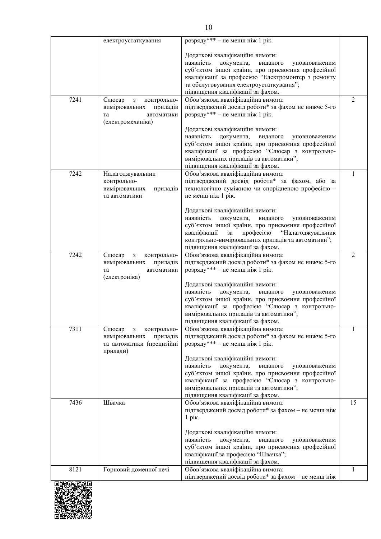|      | електроустаткування                                                           | розряду*** - не менш ніж 1 рік.                                                                            |                |
|------|-------------------------------------------------------------------------------|------------------------------------------------------------------------------------------------------------|----------------|
|      |                                                                               | Додаткові кваліфікаційні вимоги:                                                                           |                |
|      |                                                                               | наявність<br>документа,<br>виданого<br>уповноваженим                                                       |                |
|      |                                                                               | суб'єктом іншої країни, про присвоєння професійної                                                         |                |
|      |                                                                               | кваліфікації за професією "Електромонтер з ремонту                                                         |                |
|      |                                                                               | та обслуговування електроустаткування";                                                                    |                |
| 7241 |                                                                               | підвищення кваліфікації за фахом.                                                                          | 2              |
|      | Слюсар<br>$\overline{\mathbf{3}}$<br>контрольно-<br>вимірювальних<br>приладів | Обов'язкова кваліфікаційна вимога:<br>підтверджений досвід роботи* за фахом не нижче 5-го                  |                |
|      | та<br>автоматики                                                              | розряду*** - не менш ніж 1 рік.                                                                            |                |
|      | (електромеханіка)                                                             |                                                                                                            |                |
|      |                                                                               | Додаткові кваліфікаційні вимоги:                                                                           |                |
|      |                                                                               | наявність<br>документа,<br>виданого<br>уповноваженим                                                       |                |
|      |                                                                               | суб'єктом іншої країни, про присвоєння професійної                                                         |                |
|      |                                                                               | кваліфікації за професією "Слюсар з контрольно-                                                            |                |
|      |                                                                               | вимірювальних приладів та автоматики";<br>підвищення кваліфікації за фахом.                                |                |
| 7242 | Налагоджувальник                                                              | Обов'язкова кваліфікаційна вимога:                                                                         | 1              |
|      | контрольно-                                                                   | підтверджений досвід роботи* за фахом, або за                                                              |                |
|      | вимірювальних<br>приладів                                                     | технологічно суміжною чи спорідненою професією -                                                           |                |
|      | та автоматики                                                                 | не менш ніж 1 рік.                                                                                         |                |
|      |                                                                               |                                                                                                            |                |
|      |                                                                               | Додаткові кваліфікаційні вимоги:<br>наявність<br>документа,<br>виданого<br>уповноваженим                   |                |
|      |                                                                               | суб'єктом іншої країни, про присвоєння професійної                                                         |                |
|      |                                                                               | кваліфікації<br>за професією<br>"Налагоджувальник                                                          |                |
|      |                                                                               | контрольно-вимірювальних приладів та автоматики";                                                          |                |
|      |                                                                               | підвищення кваліфікації за фахом.                                                                          |                |
| 7242 | Слюсар<br>$\mathbf{3}$<br>контрольно-                                         | Обов'язкова кваліфікаційна вимога:                                                                         | $\overline{2}$ |
|      | вимірювальних<br>приладів<br>автоматики<br>та                                 | підтверджений досвід роботи* за фахом не нижче 5-го<br>розряду*** - не менш ніж 1 рік.                     |                |
|      | (електроніка)                                                                 |                                                                                                            |                |
|      |                                                                               | Додаткові кваліфікаційні вимоги:                                                                           |                |
|      |                                                                               | наявність<br>документа,<br>виданого<br>уповноваженим                                                       |                |
|      |                                                                               | суб'єктом іншої країни, про присвоєння професійної                                                         |                |
|      |                                                                               | кваліфікації за професією "Слюсар з контрольно-                                                            |                |
|      |                                                                               | вимірювальних приладів та автоматики";                                                                     |                |
| 7311 | Слюсар<br>контрольно-<br>3                                                    | підвищення кваліфікації за фахом.<br>Обов'язкова кваліфікаційна вимога:                                    | 1              |
|      | вимірювальних<br>приладів                                                     | підтверджений досвід роботи* за фахом не нижче 5-го                                                        |                |
|      | та автоматики (прецизійні                                                     | розряду*** - не менш ніж 1 рік.                                                                            |                |
|      | прилади)                                                                      |                                                                                                            |                |
|      |                                                                               | Додаткові кваліфікаційні вимоги:                                                                           |                |
|      |                                                                               | наявність<br>документа,<br>виданого<br>уповноваженим                                                       |                |
|      |                                                                               | суб'єктом іншої країни, про присвоєння професійної                                                         |                |
|      |                                                                               | кваліфікації за професією "Слюсар з контрольно-<br>вимірювальних приладів та автоматики";                  |                |
|      |                                                                               | підвищення кваліфікації за фахом.                                                                          |                |
| 7436 | Швачка                                                                        | Обов'язкова кваліфікаційна вимога:                                                                         | 15             |
|      |                                                                               | підтверджений досвід роботи* за фахом - не менш ніж                                                        |                |
|      |                                                                               | $1$ pix.                                                                                                   |                |
|      |                                                                               |                                                                                                            |                |
|      |                                                                               | Додаткові кваліфікаційні вимоги:                                                                           |                |
|      |                                                                               | наявність<br>документа,<br>виданого<br>уповноваженим<br>суб'єктом іншої країни, про присвоєння професійної |                |
|      |                                                                               | кваліфікації за професією "Швачка";                                                                        |                |
|      |                                                                               | підвищення кваліфікації за фахом.                                                                          |                |
| 8121 | Горновий доменної печі                                                        | Обов'язкова кваліфікаційна вимога:                                                                         | 1              |
|      |                                                                               | підтверджений досвід роботи* за фахом - не менш ніж                                                        |                |

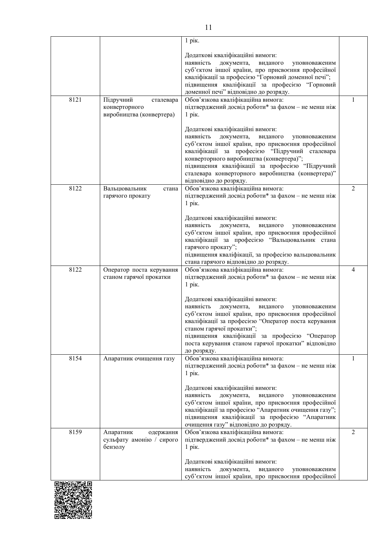|      |                                                                     | 1 рік.                                                                                                                                                                                                                                                                                                                                                                         |                |
|------|---------------------------------------------------------------------|--------------------------------------------------------------------------------------------------------------------------------------------------------------------------------------------------------------------------------------------------------------------------------------------------------------------------------------------------------------------------------|----------------|
|      |                                                                     | Додаткові кваліфікаційні вимоги:<br>наявність<br>документа,<br>виданого<br>уповноваженим<br>суб'єктом іншої країни, про присвоєння професійної<br>кваліфікації за професією "Горновий доменної печі";<br>підвищення кваліфікації за професією "Горновий<br>доменної печі" відповідно до розряду.                                                                               |                |
| 8121 | Підручний<br>сталевара<br>конверторного<br>виробництва (конвертера) | Обов'язкова кваліфікаційна вимога:<br>підтверджений досвід роботи* за фахом - не менш ніж<br>$1$ pik.                                                                                                                                                                                                                                                                          | $\mathbf{1}$   |
|      |                                                                     | Додаткові кваліфікаційні вимоги:<br>наявність<br>документа,<br>виданого<br>уповноваженим<br>суб'єктом іншої країни, про присвоєння професійної<br>кваліфікації за професією "Підручний сталевара<br>конверторного виробництва (конвертера)";<br>підвищення кваліфікації за професією "Підручний<br>сталевара конверторного виробництва (конвертера)"<br>відповідно до розряду. |                |
| 8122 | Вальцювальник<br>стана<br>гарячого прокату                          | Обов'язкова кваліфікаційна вимога:<br>підтверджений досвід роботи* за фахом - не менш ніж<br>$1$ рік.                                                                                                                                                                                                                                                                          | 2              |
|      |                                                                     | Додаткові кваліфікаційні вимоги:<br>наявність<br>документа,<br>виданого<br>уповноваженим<br>суб'єктом іншої країни, про присвоєння професійної<br>кваліфікації за професією "Вальцювальник стана<br>гарячого прокату";<br>підвищення кваліфікації, за професією вальцювальник<br>стана гарячого відповідно до розряду.                                                         |                |
| 8122 | Оператор поста керування<br>станом гарячої прокатки                 | Обов'язкова кваліфікаційна вимога:<br>підтверджений досвід роботи* за фахом - не менш ніж<br>1 рік.                                                                                                                                                                                                                                                                            | $\overline{4}$ |
|      |                                                                     | Додаткові кваліфікаційні вимоги:<br>наявність<br>документа,<br>виданого<br>уповноваженим<br>суб'єктом іншої країни, про присвоєння професійної<br>кваліфікації за професією "Оператор поста керування<br>станом гарячої прокатки";<br>підвищення кваліфікації за професією "Оператор<br>поста керування станом гарячої прокатки" відповідно<br>до розряду.                     |                |
| 8154 | Апаратник очищення газу                                             | Обов'язкова кваліфікаційна вимога:<br>підтверджений досвід роботи* за фахом - не менш ніж<br>$1$ рік.                                                                                                                                                                                                                                                                          | 1              |
|      |                                                                     | Додаткові кваліфікаційні вимоги:<br>наявність<br>документа,<br>виданого<br>уповноваженим<br>суб'єктом іншої країни, про присвоєння професійної<br>кваліфікації за професією "Апаратник очищення газу";<br>підвищення кваліфікації за професією "Апаратник<br>очищення газу" відповідно до розряду.                                                                             |                |
| 8159 | Апаратник<br>одержання<br>сульфату амонію / сирого<br>бензолу       | Обов'язкова кваліфікаційна вимога:<br>підтверджений досвід роботи* за фахом - не менш ніж<br>1 рік.                                                                                                                                                                                                                                                                            | 2              |
|      |                                                                     | Додаткові кваліфікаційні вимоги:<br>наявність<br>документа,<br>виданого<br>уповноваженим<br>суб'єктом іншої країни, про присвоєння професійної                                                                                                                                                                                                                                 |                |

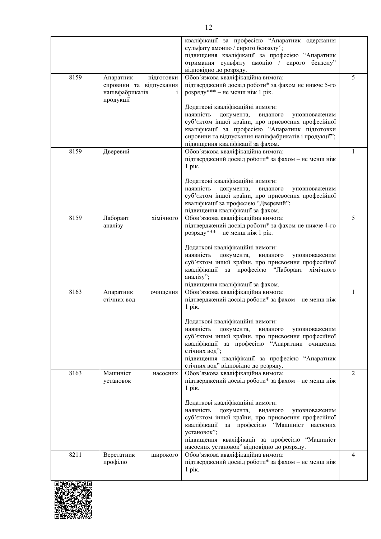|         |                                                                                    | кваліфікації за професією "Апаратник одержання<br>сульфату амонію / сирого бензолу";<br>підвищення кваліфікації за професією "Апаратник<br>отримання сульфату амонію / сирого бензолу"<br>відповідно до розряду.                                                                                              |              |
|---------|------------------------------------------------------------------------------------|---------------------------------------------------------------------------------------------------------------------------------------------------------------------------------------------------------------------------------------------------------------------------------------------------------------|--------------|
| 8159    | підготовки<br>Апаратник<br>сировини та відпускання<br>напівфабрикатів<br>продукції | Обов'язкова кваліфікаційна вимога:<br>підтверджений досвід роботи* за фахом не нижче 5-го<br>розряду*** - не менш ніж 1 рік.                                                                                                                                                                                  | 5            |
|         |                                                                                    | Додаткові кваліфікаційні вимоги:<br>наявність<br>документа,<br>виданого<br>уповноваженим<br>суб'єктом іншої країни, про присвоєння професійної<br>кваліфікації за професією "Апаратник підготовки<br>сировини та відпускання напівфабрикатів і продукції";<br>підвищення кваліфікації за фахом.               |              |
| 8159    | Дверевий                                                                           | Обов'язкова кваліфікаційна вимога:<br>підтверджений досвід роботи* за фахом - не менш ніж<br>1 рік.                                                                                                                                                                                                           | $\mathbf{1}$ |
|         |                                                                                    | Додаткові кваліфікаційні вимоги:<br>наявність<br>документа,<br>виданого<br>уповноваженим<br>суб'єктом іншої країни, про присвоєння професійної<br>кваліфікації за професією "Дверевий";<br>підвищення кваліфікації за фахом.                                                                                  |              |
| 8159    | Лаборант<br>хімічного<br>аналізу                                                   | Обов'язкова кваліфікаційна вимога:<br>підтверджений досвід роботи* за фахом не нижче 4-го<br>розряду*** - не менш ніж 1 рік.                                                                                                                                                                                  | 5            |
|         |                                                                                    | Додаткові кваліфікаційні вимоги:<br>наявність<br>документа,<br>виданого<br>уповноваженим<br>суб'єктом іншої країни, про присвоєння професійної<br>за професією "Лаборант хімічного<br>кваліфікації<br>аналізу";<br>підвищення кваліфікації за фахом.                                                          |              |
| 8163    | Апаратник<br>очищення<br>стічних вод                                               | Обов'язкова кваліфікаційна вимога:<br>підтверджений досвід роботи* за фахом - не менш ніж<br>$1$ рік.                                                                                                                                                                                                         | $\mathbf{1}$ |
|         |                                                                                    | Додаткові кваліфікаційні вимоги:<br>наявність<br>документа,<br>виданого<br>уповноваженим<br>суб'єктом іншої країни, про присвоєння професійної<br>кваліфікації за професією "Апаратник очищення<br>стічних вод";<br>підвищення кваліфікації за професією "Апаратник<br>стічних вод" відповідно до розряду.    |              |
| 8163    | Машиніст<br>насосних<br>установок                                                  | Обов'язкова кваліфікаційна вимога:<br>підтверджений досвід роботи* за фахом - не менш ніж<br>$1$ pik.                                                                                                                                                                                                         | 2            |
|         |                                                                                    | Додаткові кваліфікаційні вимоги:<br>наявність<br>документа,<br>виданого<br>уповноваженим<br>суб'єктом іншої країни, про присвоєння професійної<br>кваліфікації за професією "Машиніст насосних<br>установок";<br>підвищення кваліфікації за професією "Машиніст<br>насосних установок" відповідно до розряду. |              |
| 8211    | Верстатник<br>широкого<br>профілю                                                  | Обов'язкова кваліфікаційна вимога:<br>підтверджений досвід роботи* за фахом - не менш ніж<br>$1$ pik.                                                                                                                                                                                                         | 4            |
| 回游戏游荡规回 |                                                                                    |                                                                                                                                                                                                                                                                                                               |              |

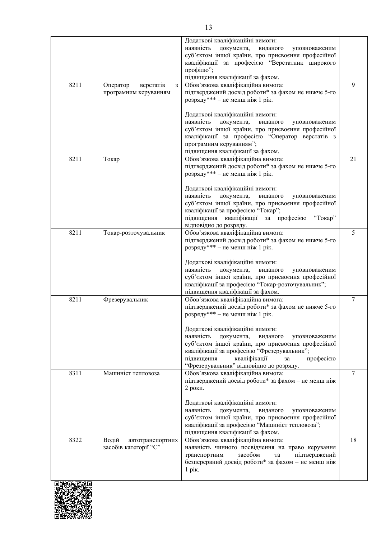|      |                                                     | Додаткові кваліфікаційні вимоги:<br>наявність<br>документа,<br>виданого<br>уповноваженим<br>суб'єктом іншої країни, про присвоєння професійної<br>кваліфікації за професією "Верстатник широкого<br>профілю";<br>підвищення кваліфікації за фахом.                                        |                |
|------|-----------------------------------------------------|-------------------------------------------------------------------------------------------------------------------------------------------------------------------------------------------------------------------------------------------------------------------------------------------|----------------|
| 8211 | Оператор<br>верстатів<br>3<br>програмним керуванням | Обов'язкова кваліфікаційна вимога:<br>підтверджений досвід роботи* за фахом не нижче 5-го<br>розряду*** - не менш ніж 1 рік.                                                                                                                                                              | 9              |
|      |                                                     | Додаткові кваліфікаційні вимоги:<br>наявність<br>документа,<br>виданого<br>уповноваженим<br>суб'єктом іншої країни, про присвоєння професійної<br>кваліфікації за професією "Оператор верстатів з<br>програмним керуванням";<br>підвищення кваліфікації за фахом.                         |                |
| 8211 | Токар                                               | Обов'язкова кваліфікаційна вимога:<br>підтверджений досвід роботи* за фахом не нижче 5-го<br>розряду*** - не менш ніж 1 рік.                                                                                                                                                              | 21             |
|      |                                                     | Додаткові кваліфікаційні вимоги:<br>наявність<br>документа,<br>виданого<br>уповноваженим<br>суб'єктом іншої країни, про присвоєння професійної<br>кваліфікації за професією "Токар";<br>підвищення кваліфікації за професією<br>"Токар"<br>відповідно до розряду.                         |                |
| 8211 | Токар-розточувальник                                | Обов'язкова кваліфікаційна вимога:<br>підтверджений досвід роботи* за фахом не нижче 5-го<br>розряду*** - не менш ніж 1 рік.                                                                                                                                                              | 5              |
|      |                                                     | Додаткові кваліфікаційні вимоги:<br>наявність<br>документа,<br>виданого<br>уповноваженим<br>суб'єктом іншої країни, про присвоєння професійної<br>кваліфікації за професією "Токар-розточувальник";<br>підвищення кваліфікації за фахом.                                                  |                |
| 8211 | Фрезерувальник                                      | Обов'язкова кваліфікаційна вимога:<br>підтверджений досвід роботи* за фахом не нижче 5-го<br>розряду*** - не менш ніж 1 рік.                                                                                                                                                              | $\overline{7}$ |
|      |                                                     | Додаткові кваліфікаційні вимоги:<br>наявність<br>документа,<br>виданого<br>уповноваженим<br>суб'єктом іншої країни, про присвоєння професійної<br>кваліфікації за професією "Фрезерувальник";<br>підвищення<br>кваліфікації<br>професією<br>за<br>"Фрезерувальник" відповідно до розряду. |                |
| 8311 | Машиніст тепловоза                                  | Обов'язкова кваліфікаційна вимога:<br>підтверджений досвід роботи* за фахом - не менш ніж<br>2 роки.                                                                                                                                                                                      | $\overline{7}$ |
|      |                                                     | Додаткові кваліфікаційні вимоги:<br>наявність<br>документа,<br>виданого<br>уповноваженим<br>суб'єктом іншої країни, про присвоєння професійної<br>кваліфікації за професією "Машиніст тепловоза";<br>підвищення кваліфікації за фахом.                                                    |                |
| 8322 | Водій<br>автотранспортних<br>засобів категорії "С"  | Обов'язкова кваліфікаційна вимога:<br>наявність чинного посвідчення на право керування<br>засобом<br>транспортним<br>підтверджений<br>та<br>безперервний досвід роботи* за фахом - не менш ніж<br>$1$ pix.                                                                                | 18             |
|      |                                                     |                                                                                                                                                                                                                                                                                           |                |

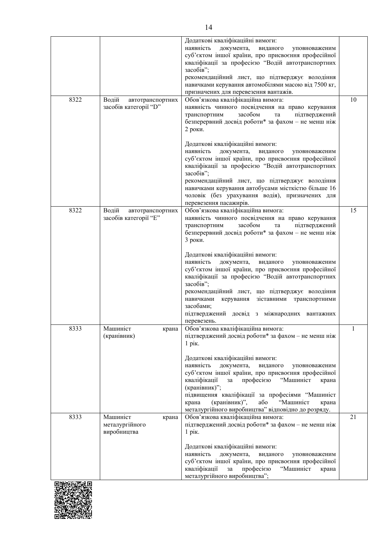|      |                                                    | Додаткові кваліфікаційні вимоги:<br>наявність<br>документа,<br>виданого<br>уповноваженим<br>суб'єктом іншої країни, про присвоєння професійної<br>кваліфікації за професією "Водій автотранспортних<br>засобів";<br>рекомендаційний лист, що підтверджує володіння<br>навичками керування автомобілями масою від 7500 кг,<br>призначених для перевезення вантажів. |              |
|------|----------------------------------------------------|--------------------------------------------------------------------------------------------------------------------------------------------------------------------------------------------------------------------------------------------------------------------------------------------------------------------------------------------------------------------|--------------|
| 8322 | Водій<br>автотранспортних<br>засобів категорії "D" | Обов'язкова кваліфікаційна вимога:<br>наявність чинного посвідчення на право керування<br>засобом<br>підтверджений<br>транспортним<br>та<br>безперервний досвід роботи* за фахом - не менш ніж<br>2 роки.                                                                                                                                                          | 10           |
|      |                                                    | Додаткові кваліфікаційні вимоги:<br>наявність<br>документа,<br>виданого<br>уповноваженим<br>суб'єктом іншої країни, про присвоєння професійної<br>кваліфікації за професією "Водій автотранспортних<br>засобів";                                                                                                                                                   |              |
|      |                                                    | рекомендаційний лист, що підтверджує володіння<br>навичками керування автобусами місткістю більше 16<br>чоловік (без урахування водія), призначених для<br>перевезення пасажирів.                                                                                                                                                                                  |              |
| 8322 | Водій<br>автотранспортних<br>засобів категорії "Е" | Обов'язкова кваліфікаційна вимога:<br>наявність чинного посвідчення на право керування<br>засобом<br>транспортним<br>підтверджений<br>та<br>безперервний досвід роботи* за фахом - не менш ніж<br>3 роки.                                                                                                                                                          | 15           |
|      |                                                    | Додаткові кваліфікаційні вимоги:<br>наявність<br>документа,<br>виданого<br>уповноваженим<br>суб'єктом іншої країни, про присвоєння професійної<br>кваліфікації за професією "Водій автотранспортних<br>засобів";                                                                                                                                                   |              |
|      |                                                    | рекомендаційний лист, що підтверджує володіння<br>зіставними транспортними<br>навичками керування<br>засобами;<br>підтверджений досвід з міжнародних вантажних<br>перевезень.                                                                                                                                                                                      |              |
| 8333 | Машиніст<br>крана<br>(кранівник)                   | Обов'язкова кваліфікаційна вимога:<br>підтверджений досвід роботи* за фахом - не менш ніж<br>$1$ pik.                                                                                                                                                                                                                                                              | $\mathbf{1}$ |
|      |                                                    | Додаткові кваліфікаційні вимоги:<br>наявність<br>документа,<br>виданого<br>уповноваженим<br>суб'єктом іншої країни, про присвоєння професійної<br>кваліфікації<br>професією<br>"Машиніст<br>за<br>крана<br>(кранівник)";<br>підвищення кваліфікації за професіями "Машиніст<br>(кранівник)",<br>або<br>"Машиніст<br>крана<br>крана                                 |              |
| 8333 | Машиніст<br>крана<br>металургійного                | металургійного виробництва" відповідно до розряду.<br>Обов'язкова кваліфікаційна вимога:<br>підтверджений досвід роботи* за фахом - не менш ніж                                                                                                                                                                                                                    | 21           |
|      | виробництва                                        | 1 рік.<br>Додаткові кваліфікаційні вимоги:                                                                                                                                                                                                                                                                                                                         |              |
|      |                                                    | наявність<br>документа,<br>виданого<br>уповноваженим<br>суб'єктом іншої країни, про присвоєння професійної                                                                                                                                                                                                                                                         |              |
|      |                                                    | кваліфікації<br>професією<br>"Машиніст<br>за<br>крана<br>металургійного виробництва";                                                                                                                                                                                                                                                                              |              |

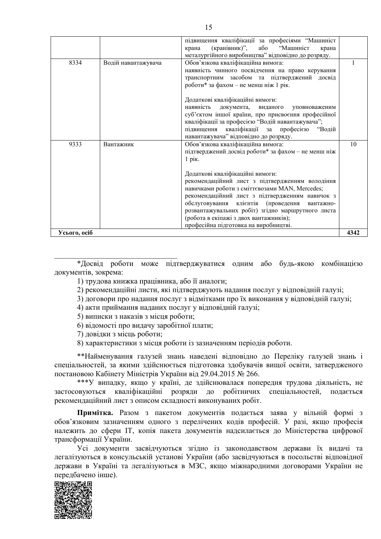|              |                     | підвищення кваліфікації за професіями "Машиніст     |      |
|--------------|---------------------|-----------------------------------------------------|------|
|              |                     | (кранівник)", або "Машиніст<br>крана<br>крана       |      |
|              |                     | металургійного виробництва" відповідно до розряду.  |      |
| 8334         | Водій навантажувача | Обов'язкова кваліфікаційна вимога:                  |      |
|              |                     | наявність чинного посвідчення на право керування    |      |
|              |                     | транспортним засобом та підтверджений досвід        |      |
|              |                     | роботи* за фахом - не менш ніж 1 рік.               |      |
|              |                     | Додаткові кваліфікаційні вимоги:                    |      |
|              |                     | наявність<br>документа, виданого<br>уповноваженим   |      |
|              |                     | суб'єктом іншої країни, про присвоєння професійної  |      |
|              |                     | кваліфікації за професією "Водій навантажувача";    |      |
|              |                     | підвищення кваліфікації за професією "Водій         |      |
|              |                     | навантажувача" відповідно до розряду.               |      |
| 9333         | Вантажник           | Обов'язкова кваліфікаційна вимога:                  | 10   |
|              |                     | підтверджений досвід роботи* за фахом - не менш ніж |      |
|              |                     | $1$ рік.                                            |      |
|              |                     |                                                     |      |
|              |                     | Додаткові кваліфікаційні вимоги:                    |      |
|              |                     | рекомендаційний лист з підтвердженням володіння     |      |
|              |                     | навичками роботи з сміттєвозами MAN, Mercedes;      |      |
|              |                     | рекомендаційний лист з підтвердженням навичок з     |      |
|              |                     | обслуговування клієнтів (проведення вантажно-       |      |
|              |                     | розвантажувальних робіт) згідно маршрутного листа   |      |
|              |                     | (робота в екіпажі з двох вантажників);              |      |
|              |                     | професійна підготовка на виробництві.               |      |
| Усього, осіб |                     |                                                     | 4342 |
|              |                     |                                                     |      |

\*Досвід роботи може підтверджуватися одним або будь-якою комбінацією документів, зокрема:

1) трудова книжка працівника, або її аналоги;

2) рекомендаційні листи, які підтверджують надання послуг у відповідній галузі;

3) договори про надання послуг з відмітками про їх виконання у відповідній галузі;

4) акти приймання наданих послуг у відповідній галузі;

5) виписки з наказів з місця роботи;

6) відомості про видачу заробітної плати;

7) довілки з місць роботи:

8) характеристики з місця роботи із зазначенням періодів роботи.

\*\*Найменування галузей знань наведені відповідно до Переліку галузей знань і спеціальностей, за якими здійснюється підготовка здобувачів вищої освіти, затвердженого постановою Кабінету Міністрів України від 29.04.2015 № 266.

\*\*\*У випадку, якщо у країні, де здійснювалася попередня трудова діяльність, не застосовуються кваліфікаційні розряди до робітничих спеціальностей, подається рекомендаційний лист з описом складності виконуваних робіт.

Примітка. Разом з пакетом документів подається заява у вільній формі з обов'язковим зазначенням одного з перелічених кодів професій. У разі, якщо професія належить до сфери IT, копія пакета документів надсилається до Міністерства цифрової трансформації України.

Усі документи засвідчуються згідно із законодавством держави їх видачі та легалізуються в консульській установі України (або засвідчуються в посольстві відповідної держави в Україні та легалізуються в МЗС, якщо міжнародними договорами України не передбачено інше).